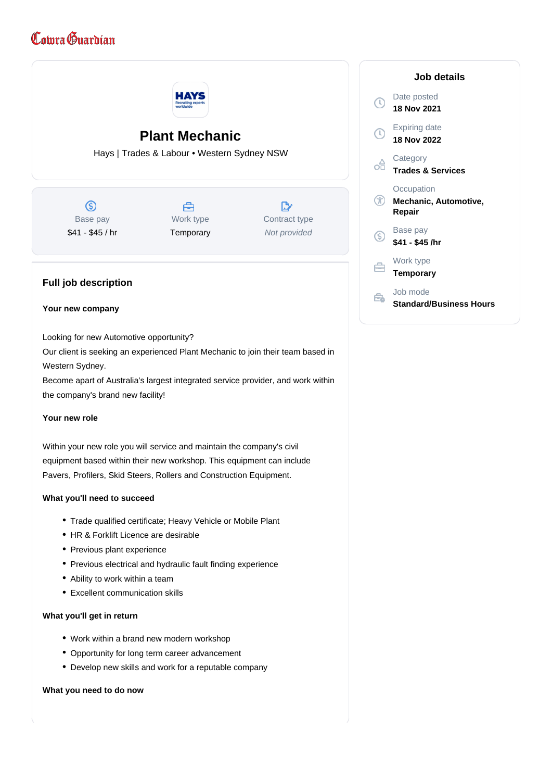## Comra Guardian



Within your new role you will service and maintain the company's civil equipment based within their new workshop. This equipment can include Pavers, Profilers, Skid Steers, Rollers and Construction Equipment.

## **What you'll need to succeed**

- Trade qualified certificate; Heavy Vehicle or Mobile Plant
- HR & Forklift Licence are desirable
- Previous plant experience
- Previous electrical and hydraulic fault finding experience
- Ability to work within a team
- Excellent communication skills

## **What you'll get in return**

- Work within a brand new modern workshop
- Opportunity for long term career advancement
- Develop new skills and work for a reputable company

## **What you need to do now**

|    | Job details                                   |
|----|-----------------------------------------------|
|    | Date posted<br>18 Nov 2021                    |
|    | Expiring date<br>18 Nov 2022                  |
|    | Category<br><b>Trades &amp; Services</b>      |
|    | Occupation<br>Mechanic, Automotive,<br>Repair |
| 'S | Base pay<br>\$41 - \$45 /hr                   |
|    | Work type<br><b>Temporary</b>                 |
|    | Job mode<br>Standard/Business Hours           |